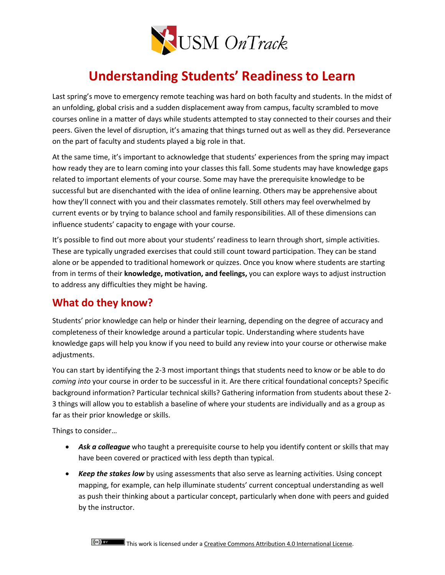

# **Understanding Students' Readiness to Learn**

Last spring's move to emergency remote teaching was hard on both faculty and students. In the midst of an unfolding, global crisis and a sudden displacement away from campus, faculty scrambled to move courses online in a matter of days while students attempted to stay connected to their courses and their peers. Given the level of disruption, it's amazing that things turned out as well as they did. Perseverance on the part of faculty and students played a big role in that.

At the same time, it's important to acknowledge that students' experiences from the spring may impact how ready they are to learn coming into your classes this fall. Some students may have knowledge gaps related to important elements of your course. Some may have the prerequisite knowledge to be successful but are disenchanted with the idea of online learning. Others may be apprehensive about how they'll connect with you and their classmates remotely. Still others may feel overwhelmed by current events or by trying to balance school and family responsibilities. All of these dimensions can influence students' capacity to engage with your course.

It's possible to find out more about your students' readiness to learn through short, simple activities. These are typically ungraded exercises that could still count toward participation. They can be stand alone or be appended to traditional homework or quizzes. Once you know where students are starting from in terms of their **knowledge, motivation, and feelings,** you can explore ways to adjust instruction to address any difficulties they might be having.

### **What do they know?**

Students' prior knowledge can help or hinder their learning, depending on the degree of accuracy and completeness of their knowledge around a particular topic. Understanding where students have knowledge gaps will help you know if you need to build any review into your course or otherwise make adjustments.

You can start by identifying the 2-3 most important things that students need to know or be able to do *coming into* your course in order to be successful in it. Are there critical foundational concepts? Specific background information? Particular technical skills? Gathering information from students about these 2- 3 things will allow you to establish a baseline of where your students are individually and as a group as far as their prior knowledge or skills.

Things to consider…

- *Ask a colleague* who taught a prerequisite course to help you identify content or skills that may have been covered or practiced with less depth than typical.
- *Keep the stakes low* by using assessments that also serve as learning activities. Using concept mapping, for example, can help illuminate students' current conceptual understanding as well as push their thinking about a particular concept, particularly when done with peers and guided by the instructor.

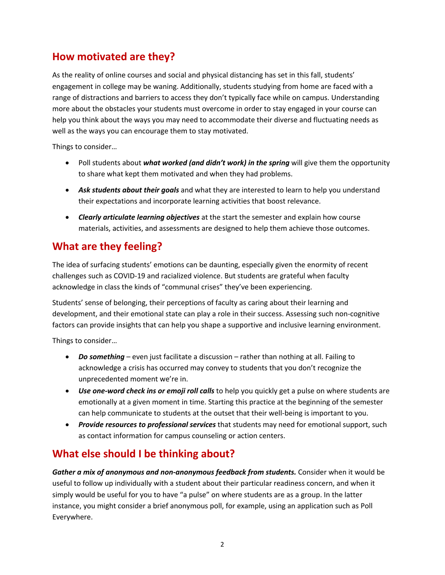## **How motivated are they?**

As the reality of online courses and social and physical distancing has set in this fall, students' engagement in college may be waning. Additionally, students studying from home are faced with a range of distractions and barriers to access they don't typically face while on campus. Understanding more about the obstacles your students must overcome in order to stay engaged in your course can help you think about the ways you may need to accommodate their diverse and fluctuating needs as well as the ways you can encourage them to stay motivated.

Things to consider…

- Poll students about *what worked (and didn't work) in the spring* will give them the opportunity to share what kept them motivated and when they had problems.
- *Ask students about their goals* and what they are interested to learn to help you understand their expectations and incorporate learning activities that boost relevance.
- *Clearly articulate learning objectives* at the start the semester and explain how course materials, activities, and assessments are designed to help them achieve those outcomes.

### **What are they feeling?**

The idea of surfacing students' emotions can be daunting, especially given the enormity of recent challenges such as COVID-19 and racialized violence. But students are grateful when faculty acknowledge in class the kinds of "communal crises" they've been experiencing.

Students' sense of belonging, their perceptions of faculty as caring about their learning and development, and their emotional state can play a role in their success. Assessing such non-cognitive factors can provide insights that can help you shape a supportive and inclusive learning environment.

Things to consider…

- *Do something* even just facilitate a discussion rather than nothing at all. Failing to acknowledge a crisis has occurred may convey to students that you don't recognize the unprecedented moment we're in.
- *Use one-word check ins or emoji roll calls* to help you quickly get a pulse on where students are emotionally at a given moment in time. Starting this practice at the beginning of the semester can help communicate to students at the outset that their well-being is important to you.
- *Provide resources to professional services* that students may need for emotional support, such as contact information for campus counseling or action centers.

## **What else should I be thinking about?**

*Gather a mix of anonymous and non-anonymous feedback from students.* Consider when it would be useful to follow up individually with a student about their particular readiness concern, and when it simply would be useful for you to have "a pulse" on where students are as a group. In the latter instance, you might consider a brief anonymous poll, for example, using an application such as Poll Everywhere.